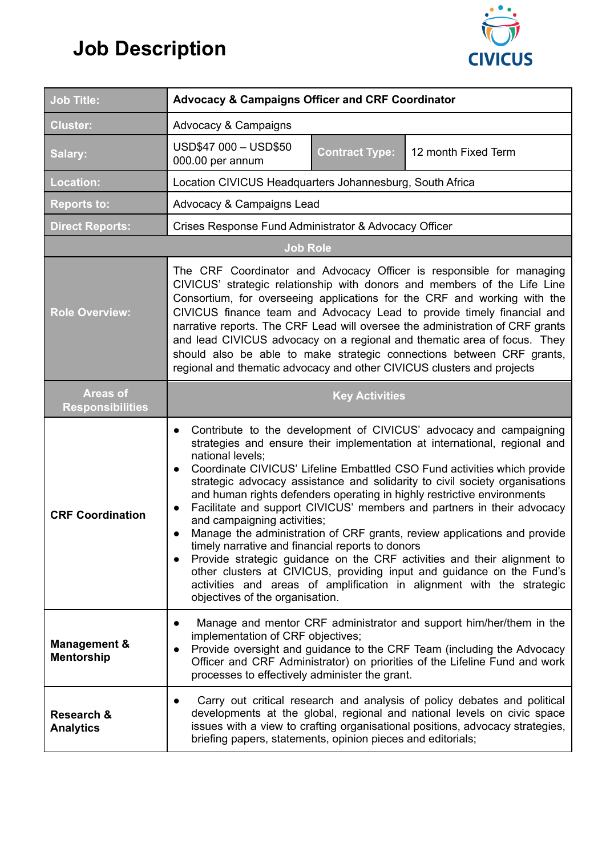## **Job Description**



| <b>Job Title:</b>                            | <b>Advocacy &amp; Campaigns Officer and CRF Coordinator</b>                                                                                                                                                                                                                                                                                                                                                                                                                                                                                                                                                                                                                                                                                                                                                                                                                                                                                               |  |
|----------------------------------------------|-----------------------------------------------------------------------------------------------------------------------------------------------------------------------------------------------------------------------------------------------------------------------------------------------------------------------------------------------------------------------------------------------------------------------------------------------------------------------------------------------------------------------------------------------------------------------------------------------------------------------------------------------------------------------------------------------------------------------------------------------------------------------------------------------------------------------------------------------------------------------------------------------------------------------------------------------------------|--|
| <b>Cluster:</b>                              | Advocacy & Campaigns                                                                                                                                                                                                                                                                                                                                                                                                                                                                                                                                                                                                                                                                                                                                                                                                                                                                                                                                      |  |
| Salary:                                      | USD\$47 000 - USD\$50<br>12 month Fixed Term<br><b>Contract Type:</b><br>000.00 per annum                                                                                                                                                                                                                                                                                                                                                                                                                                                                                                                                                                                                                                                                                                                                                                                                                                                                 |  |
| <b>Location:</b>                             | Location CIVICUS Headquarters Johannesburg, South Africa                                                                                                                                                                                                                                                                                                                                                                                                                                                                                                                                                                                                                                                                                                                                                                                                                                                                                                  |  |
| <b>Reports to:</b>                           | Advocacy & Campaigns Lead                                                                                                                                                                                                                                                                                                                                                                                                                                                                                                                                                                                                                                                                                                                                                                                                                                                                                                                                 |  |
| <b>Direct Reports:</b>                       | Crises Response Fund Administrator & Advocacy Officer                                                                                                                                                                                                                                                                                                                                                                                                                                                                                                                                                                                                                                                                                                                                                                                                                                                                                                     |  |
| <b>Job Role</b>                              |                                                                                                                                                                                                                                                                                                                                                                                                                                                                                                                                                                                                                                                                                                                                                                                                                                                                                                                                                           |  |
| <b>Role Overview:</b>                        | The CRF Coordinator and Advocacy Officer is responsible for managing<br>CIVICUS' strategic relationship with donors and members of the Life Line<br>Consortium, for overseeing applications for the CRF and working with the<br>CIVICUS finance team and Advocacy Lead to provide timely financial and<br>narrative reports. The CRF Lead will oversee the administration of CRF grants<br>and lead CIVICUS advocacy on a regional and thematic area of focus. They<br>should also be able to make strategic connections between CRF grants,<br>regional and thematic advocacy and other CIVICUS clusters and projects                                                                                                                                                                                                                                                                                                                                    |  |
| <b>Areas of</b><br><b>Responsibilities</b>   | <b>Key Activities</b>                                                                                                                                                                                                                                                                                                                                                                                                                                                                                                                                                                                                                                                                                                                                                                                                                                                                                                                                     |  |
| <b>CRF Coordination</b>                      | Contribute to the development of CIVICUS' advocacy and campaigning<br>$\bullet$<br>strategies and ensure their implementation at international, regional and<br>national levels;<br>Coordinate CIVICUS' Lifeline Embattled CSO Fund activities which provide<br>$\bullet$<br>strategic advocacy assistance and solidarity to civil society organisations<br>and human rights defenders operating in highly restrictive environments<br>Facilitate and support CIVICUS' members and partners in their advocacy<br>and campaigning activities;<br>Manage the administration of CRF grants, review applications and provide<br>timely narrative and financial reports to donors<br>Provide strategic guidance on the CRF activities and their alignment to<br>$\bullet$<br>other clusters at CIVICUS, providing input and guidance on the Fund's<br>activities and areas of amplification in alignment with the strategic<br>objectives of the organisation. |  |
| <b>Management &amp;</b><br><b>Mentorship</b> | Manage and mentor CRF administrator and support him/her/them in the<br>$\bullet$<br>implementation of CRF objectives;<br>Provide oversight and guidance to the CRF Team (including the Advocacy<br>$\bullet$<br>Officer and CRF Administrator) on priorities of the Lifeline Fund and work<br>processes to effectively administer the grant.                                                                                                                                                                                                                                                                                                                                                                                                                                                                                                                                                                                                              |  |
| <b>Research &amp;</b><br><b>Analytics</b>    | Carry out critical research and analysis of policy debates and political<br>developments at the global, regional and national levels on civic space<br>issues with a view to crafting organisational positions, advocacy strategies,<br>briefing papers, statements, opinion pieces and editorials;                                                                                                                                                                                                                                                                                                                                                                                                                                                                                                                                                                                                                                                       |  |